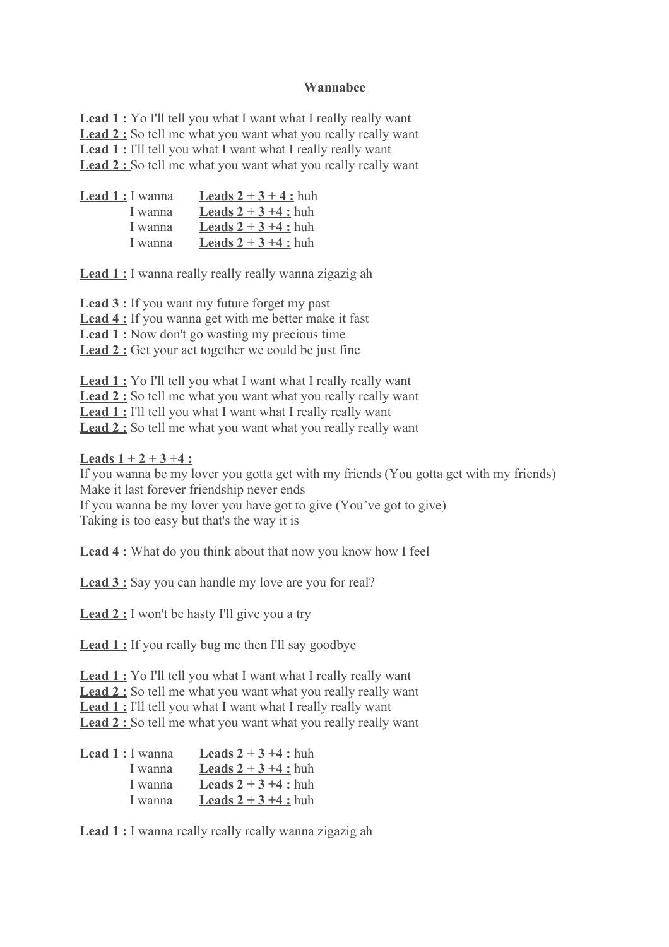## **Wannabee**

 **Lead 1 :** Yo I'll tell you what I want what I really really want  **Lead 2 :** So tell me what you want what you really really want **Lead 1 :** I'll tell you what I want what I really really want Lead 2 : So tell me what you want what you really really want

| <b>Lead 1</b> : I wanna | <b>Leads</b> $2 + 3 + 4$ : huh |
|-------------------------|--------------------------------|
| I wanna                 | Leads $2 + 3 + 4$ ; huh        |
| I wanna                 | Leads $2 + 3 + 4$ ; huh        |
| I wanna                 | Leads $2 + 3 + 4$ ; huh        |

**Lead 1 :** I wanna really really really wanna zigazig ah

 **Lead 3 :** If you want my future forget my past  **Lead 4 :** If you wanna get with me better make it fast

Lead 1 : Now don't go wasting my precious time

**Lead 2 :** Get your act together we could be just fine

**Lead 1 :** Yo I'll tell you what I want what I really really want

Lead 2 : So tell me what you want what you really really want

 **Lead 1 :** I'll tell you what I want what I really really want

Lead 2 : So tell me what you want what you really really want

 **Leads 1 + 2 + 3 +4 :**

If you wanna be my lover you gotta get with my friends (You gotta get with my friends) Make it last forever friendship never ends If you wanna be my lover you have got to give (You've got to give) Taking is too easy but that's the way it is

**Lead 4 :** What do you think about that now you know how I feel

 **Lead 3 :** Say you can handle my love are you for real?

 **Lead 2 :** I won't be hasty I'll give you a try

**Lead 1 :** If you really bug me then I'll say goodbye

 **Lead 1 :** Yo I'll tell you what I want what I really really want Lead 2 : So tell me what you want what you really really want **Lead 1 :** I'll tell you what I want what I really really want Lead 2 : So tell me what you want what you really really want

| Lead 1 : I wanna | Leads $2 + 3 + 4$ : huh        |
|------------------|--------------------------------|
| I wanna          | Leads $2 + 3 + 4$ : huh        |
| I wanna          | Leads $2 + 3 + 4$ : huh        |
| I wanna          | <b>Leads</b> $2 + 3 + 4$ : huh |

 **Lead 1 :** I wanna really really really wanna zigazig ah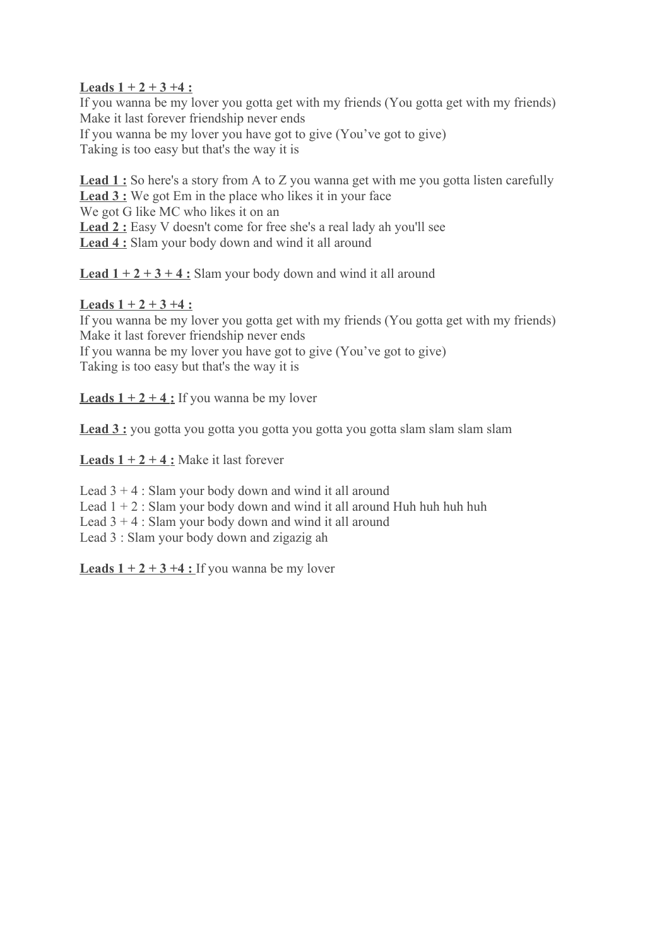## **Leads 1 + 2 + 3 +4 :**

If you wanna be my lover you gotta get with my friends (You gotta get with my friends) Make it last forever friendship never ends If you wanna be my lover you have got to give (You've got to give) Taking is too easy but that's the way it is

**Lead 1 :** So here's a story from A to Z you wanna get with me you gotta listen carefully  **Lead 3 :** We got Em in the place who likes it in your face We got G like MC who likes it on an  **Lead 2 :** Easy V doesn't come for free she's a real lady ah you'll see  **Lead 4 :** Slam your body down and wind it all around

**Lead**  $1 + 2 + 3 + 4$ **:** Slam your body down and wind it all around

## **Leads 1 + 2 + 3 +4 :**

If you wanna be my lover you gotta get with my friends (You gotta get with my friends) Make it last forever friendship never ends If you wanna be my lover you have got to give (You've got to give) Taking is too easy but that's the way it is

**Leads**  $1 + 2 + 4$ : If you wanna be my lover

 **Lead 3 :** you gotta you gotta you gotta you gotta you gotta slam slam slam slam

**Leads**  $1 + 2 + 4$ **:** Make it last forever

Lead  $3 + 4$ : Slam your body down and wind it all around Lead  $1 + 2$ : Slam your body down and wind it all around Huh huh huh huh Lead  $3 + 4$ : Slam your body down and wind it all around Lead 3 : Slam your body down and zigazig ah

**Leads**  $1 + 2 + 3 + 4$ : If you wanna be my lover